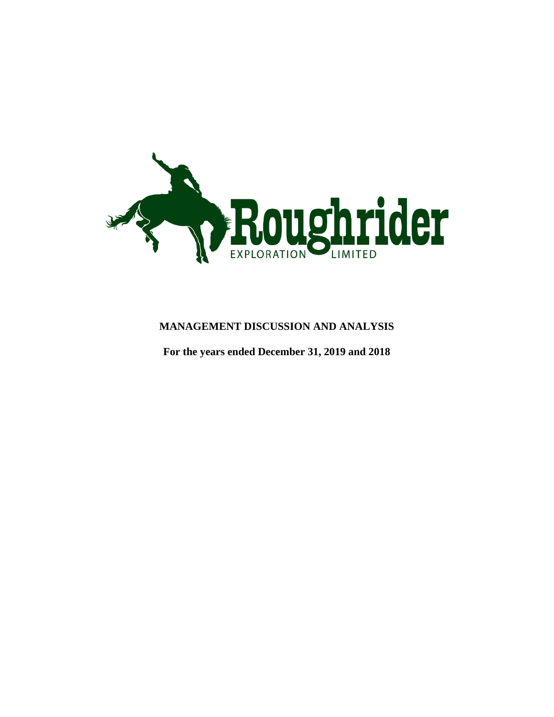

# **MANAGEMENT DISCUSSION AND ANALYSIS**

**For the years ended December 31, 2019 and 2018**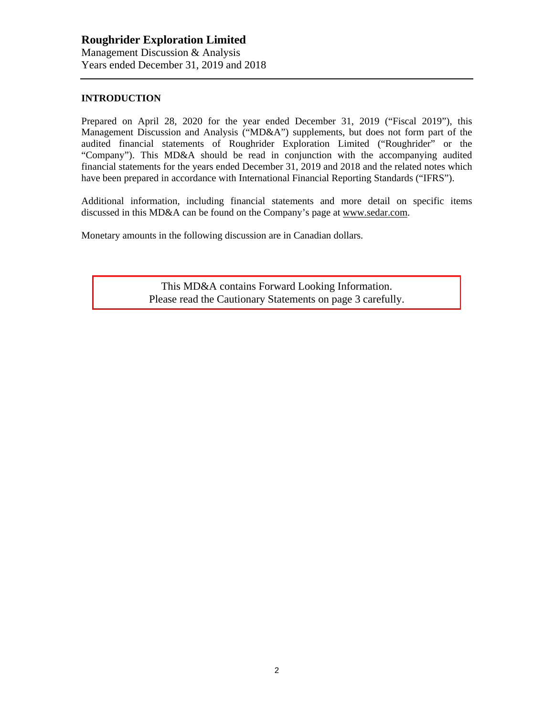### **INTRODUCTION**

Prepared on April 28, 2020 for the year ended December 31, 2019 ("Fiscal 2019"), this Management Discussion and Analysis ("MD&A") supplements, but does not form part of the audited financial statements of Roughrider Exploration Limited ("Roughrider" or the "Company"). This MD&A should be read in conjunction with the accompanying audited financial statements for the years ended December 31, 2019 and 2018 and the related notes which have been prepared in accordance with International Financial Reporting Standards ("IFRS").

Additional information, including financial statements and more detail on specific items discussed in this MD&A can be found on the Company's page at www.sedar.com.

Monetary amounts in the following discussion are in Canadian dollars.

This MD&A contains Forward Looking Information. Please read the Cautionary Statements on page 3 carefully.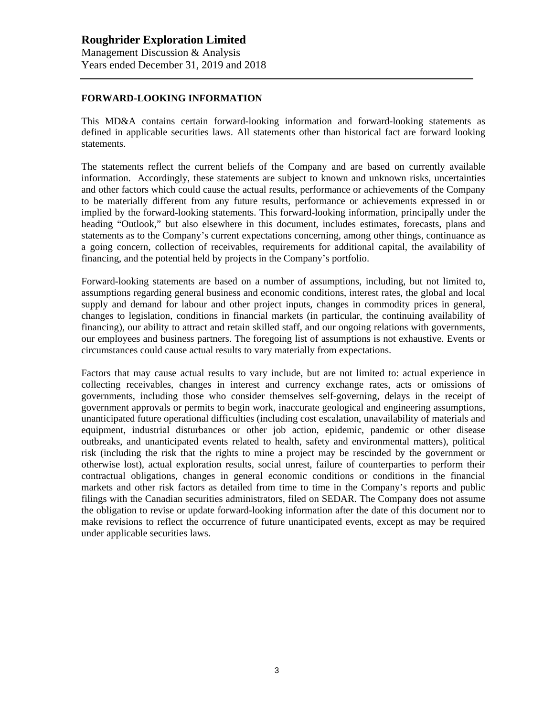### **FORWARD-LOOKING INFORMATION**

This MD&A contains certain forward-looking information and forward-looking statements as defined in applicable securities laws. All statements other than historical fact are forward looking statements.

The statements reflect the current beliefs of the Company and are based on currently available information. Accordingly, these statements are subject to known and unknown risks, uncertainties and other factors which could cause the actual results, performance or achievements of the Company to be materially different from any future results, performance or achievements expressed in or implied by the forward-looking statements. This forward-looking information, principally under the heading "Outlook," but also elsewhere in this document, includes estimates, forecasts, plans and statements as to the Company's current expectations concerning, among other things, continuance as a going concern, collection of receivables, requirements for additional capital, the availability of financing, and the potential held by projects in the Company's portfolio.

Forward-looking statements are based on a number of assumptions, including, but not limited to, assumptions regarding general business and economic conditions, interest rates, the global and local supply and demand for labour and other project inputs, changes in commodity prices in general, changes to legislation, conditions in financial markets (in particular, the continuing availability of financing), our ability to attract and retain skilled staff, and our ongoing relations with governments, our employees and business partners. The foregoing list of assumptions is not exhaustive. Events or circumstances could cause actual results to vary materially from expectations.

Factors that may cause actual results to vary include, but are not limited to: actual experience in collecting receivables, changes in interest and currency exchange rates, acts or omissions of governments, including those who consider themselves self-governing, delays in the receipt of government approvals or permits to begin work, inaccurate geological and engineering assumptions, unanticipated future operational difficulties (including cost escalation, unavailability of materials and equipment, industrial disturbances or other job action, epidemic, pandemic or other disease outbreaks, and unanticipated events related to health, safety and environmental matters), political risk (including the risk that the rights to mine a project may be rescinded by the government or otherwise lost), actual exploration results, social unrest, failure of counterparties to perform their contractual obligations, changes in general economic conditions or conditions in the financial markets and other risk factors as detailed from time to time in the Company's reports and public filings with the Canadian securities administrators, filed on SEDAR. The Company does not assume the obligation to revise or update forward-looking information after the date of this document nor to make revisions to reflect the occurrence of future unanticipated events, except as may be required under applicable securities laws.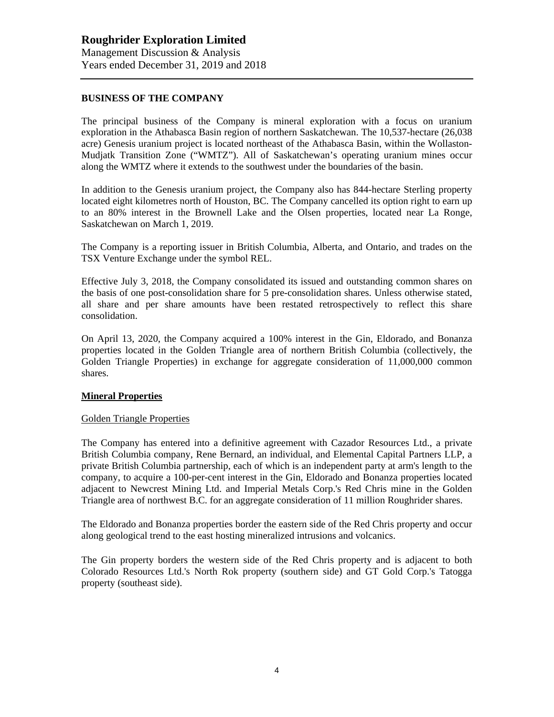### **BUSINESS OF THE COMPANY**

The principal business of the Company is mineral exploration with a focus on uranium exploration in the Athabasca Basin region of northern Saskatchewan. The 10,537-hectare (26,038 acre) Genesis uranium project is located northeast of the Athabasca Basin, within the Wollaston-Mudjatk Transition Zone ("WMTZ"). All of Saskatchewan's operating uranium mines occur along the WMTZ where it extends to the southwest under the boundaries of the basin.

In addition to the Genesis uranium project, the Company also has 844-hectare Sterling property located eight kilometres north of Houston, BC. The Company cancelled its option right to earn up to an 80% interest in the Brownell Lake and the Olsen properties, located near La Ronge, Saskatchewan on March 1, 2019.

The Company is a reporting issuer in British Columbia, Alberta, and Ontario, and trades on the TSX Venture Exchange under the symbol REL.

Effective July 3, 2018, the Company consolidated its issued and outstanding common shares on the basis of one post-consolidation share for 5 pre-consolidation shares. Unless otherwise stated, all share and per share amounts have been restated retrospectively to reflect this share consolidation.

On April 13, 2020, the Company acquired a 100% interest in the Gin, Eldorado, and Bonanza properties located in the Golden Triangle area of northern British Columbia (collectively, the Golden Triangle Properties) in exchange for aggregate consideration of 11,000,000 common shares.

#### **Mineral Properties**

#### Golden Triangle Properties

The Company has entered into a definitive agreement with Cazador Resources Ltd., a private British Columbia company, Rene Bernard, an individual, and Elemental Capital Partners LLP, a private British Columbia partnership, each of which is an independent party at arm's length to the company, to acquire a 100-per-cent interest in the Gin, Eldorado and Bonanza properties located adjacent to Newcrest Mining Ltd. and Imperial Metals Corp.'s Red Chris mine in the Golden Triangle area of northwest B.C. for an aggregate consideration of 11 million Roughrider shares.

The Eldorado and Bonanza properties border the eastern side of the Red Chris property and occur along geological trend to the east hosting mineralized intrusions and volcanics.

The Gin property borders the western side of the Red Chris property and is adjacent to both Colorado Resources Ltd.'s North Rok property (southern side) and GT Gold Corp.'s Tatogga property (southeast side).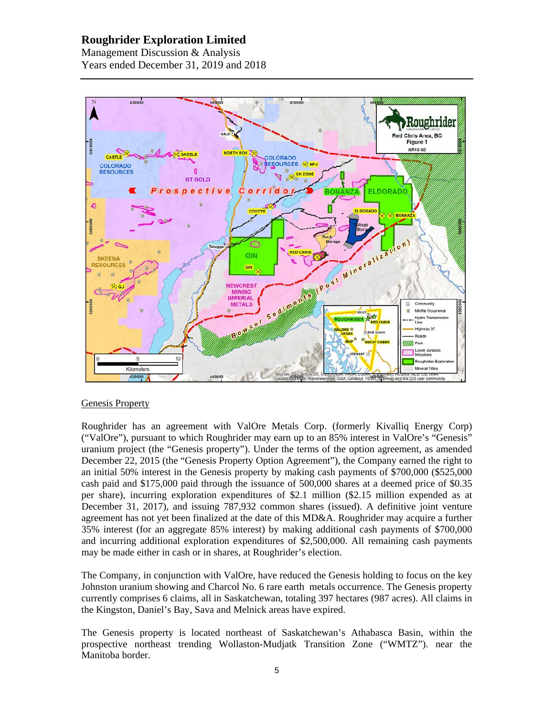# **Roughrider Exploration Limited**

Management Discussion & Analysis Years ended December 31, 2019 and 2018



### Genesis Property

Roughrider has an agreement with ValOre Metals Corp. (formerly Kivalliq Energy Corp) ("ValOre"), pursuant to which Roughrider may earn up to an 85% interest in ValOre's "Genesis" uranium project (the "Genesis property"). Under the terms of the option agreement, as amended December 22, 2015 (the "Genesis Property Option Agreement"), the Company earned the right to an initial 50% interest in the Genesis property by making cash payments of \$700,000 (\$525,000 cash paid and \$175,000 paid through the issuance of 500,000 shares at a deemed price of \$0.35 per share), incurring exploration expenditures of \$2.1 million (\$2.15 million expended as at December 31, 2017), and issuing 787,932 common shares (issued). A definitive joint venture agreement has not yet been finalized at the date of this MD&A. Roughrider may acquire a further 35% interest (for an aggregate 85% interest) by making additional cash payments of \$700,000 and incurring additional exploration expenditures of \$2,500,000. All remaining cash payments may be made either in cash or in shares, at Roughrider's election.

The Company, in conjunction with ValOre, have reduced the Genesis holding to focus on the key Johnston uranium showing and Charcol No. 6 rare earth metals occurrence. The Genesis property currently comprises 6 claims, all in Saskatchewan, totaling 397 hectares (987 acres). All claims in the Kingston, Daniel's Bay, Sava and Melnick areas have expired.

The Genesis property is located northeast of Saskatchewan's Athabasca Basin, within the prospective northeast trending Wollaston-Mudjatk Transition Zone ("WMTZ"). near the Manitoba border.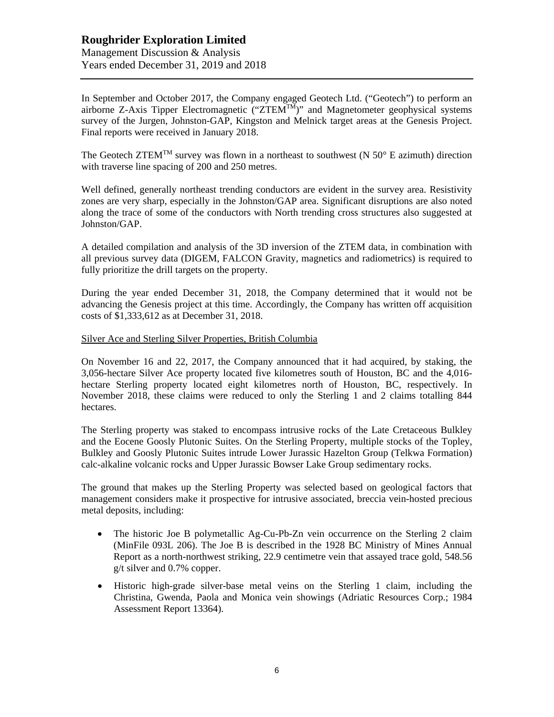## **Roughrider Exploration Limited** Management Discussion & Analysis Years ended December 31, 2019 and 2018

In September and October 2017, the Company engaged Geotech Ltd. ("Geotech") to perform an airborne Z-Axis Tipper Electromagnetic  $(TZTEM^{TM})$ " and Magnetometer geophysical systems survey of the Jurgen, Johnston-GAP, Kingston and Melnick target areas at the Genesis Project. Final reports were received in January 2018.

The Geotech ZTEM<sup>TM</sup> survey was flown in a northeast to southwest (N  $50^{\circ}$  E azimuth) direction with traverse line spacing of 200 and 250 metres.

Well defined, generally northeast trending conductors are evident in the survey area. Resistivity zones are very sharp, especially in the Johnston/GAP area. Significant disruptions are also noted along the trace of some of the conductors with North trending cross structures also suggested at Johnston/GAP.

A detailed compilation and analysis of the 3D inversion of the ZTEM data, in combination with all previous survey data (DIGEM, FALCON Gravity, magnetics and radiometrics) is required to fully prioritize the drill targets on the property.

During the year ended December 31, 2018, the Company determined that it would not be advancing the Genesis project at this time. Accordingly, the Company has written off acquisition costs of \$1,333,612 as at December 31, 2018.

#### Silver Ace and Sterling Silver Properties, British Columbia

On November 16 and 22, 2017, the Company announced that it had acquired, by staking, the 3,056-hectare Silver Ace property located five kilometres south of Houston, BC and the 4,016 hectare Sterling property located eight kilometres north of Houston, BC, respectively. In November 2018, these claims were reduced to only the Sterling 1 and 2 claims totalling 844 hectares.

The Sterling property was staked to encompass intrusive rocks of the Late Cretaceous Bulkley and the Eocene Goosly Plutonic Suites. On the Sterling Property, multiple stocks of the Topley, Bulkley and Goosly Plutonic Suites intrude Lower Jurassic Hazelton Group (Telkwa Formation) calc-alkaline volcanic rocks and Upper Jurassic Bowser Lake Group sedimentary rocks.

The ground that makes up the Sterling Property was selected based on geological factors that management considers make it prospective for intrusive associated, breccia vein-hosted precious metal deposits, including:

- The historic Joe B polymetallic Ag-Cu-Pb-Zn vein occurrence on the Sterling 2 claim (MinFile 093L 206). The Joe B is described in the 1928 BC Ministry of Mines Annual Report as a north-northwest striking, 22.9 centimetre vein that assayed trace gold, 548.56 g/t silver and 0.7% copper.
- Historic high-grade silver-base metal veins on the Sterling 1 claim, including the Christina, Gwenda, Paola and Monica vein showings (Adriatic Resources Corp.; 1984 Assessment Report 13364).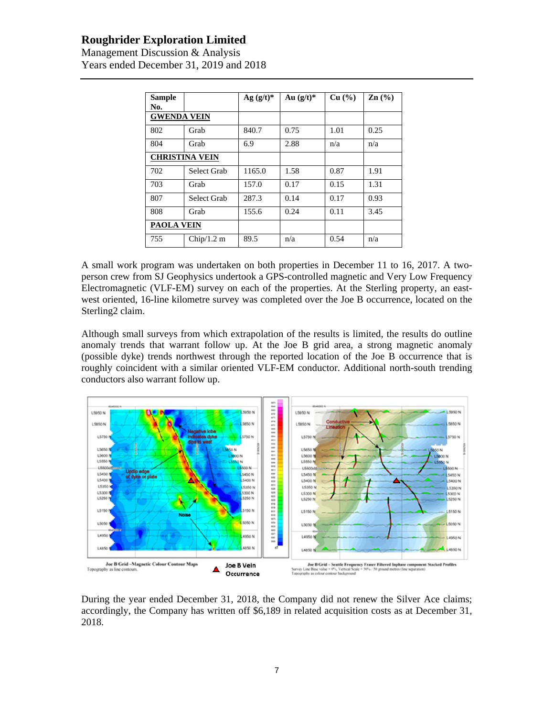# **Roughrider Exploration Limited**

Management Discussion & Analysis Years ended December 31, 2019 and 2018

| <b>Sample</b><br>No.  |                   | Ag $(g/t)^*$ | Au $(g/t)^*$ | Cu (%) | $\mathbf{Zn}$ (%) |
|-----------------------|-------------------|--------------|--------------|--------|-------------------|
| <b>GWENDA VEIN</b>    |                   |              |              |        |                   |
| 802                   | Grab              | 840.7        | 0.75         | 1.01   | 0.25              |
| 804                   | Grab              | 6.9          | 2.88         | n/a    | n/a               |
| <b>CHRISTINA VEIN</b> |                   |              |              |        |                   |
| 702                   | Select Grab       | 1165.0       | 1.58         | 0.87   | 1.91              |
| 703                   | Grab              | 157.0        | 0.17         | 0.15   | 1.31              |
| 807                   | Select Grab       | 287.3        | 0.14         | 0.17   | 0.93              |
| 808                   | Grab              | 155.6        | 0.24         | 0.11   | 3.45              |
|                       | <b>PAOLA VEIN</b> |              |              |        |                   |
| 755                   | Chip/1.2 m        | 89.5         | n/a          | 0.54   | n/a               |

A small work program was undertaken on both properties in December 11 to 16, 2017. A twoperson crew from SJ Geophysics undertook a GPS-controlled magnetic and Very Low Frequency Electromagnetic (VLF-EM) survey on each of the properties. At the Sterling property, an eastwest oriented, 16-line kilometre survey was completed over the Joe B occurrence, located on the Sterling2 claim.

Although small surveys from which extrapolation of the results is limited, the results do outline anomaly trends that warrant follow up. At the Joe B grid area, a strong magnetic anomaly (possible dyke) trends northwest through the reported location of the Joe B occurrence that is roughly coincident with a similar oriented VLF-EM conductor. Additional north-south trending conductors also warrant follow up.



During the year ended December 31, 2018, the Company did not renew the Silver Ace claims; accordingly, the Company has written off \$6,189 in related acquisition costs as at December 31, 2018.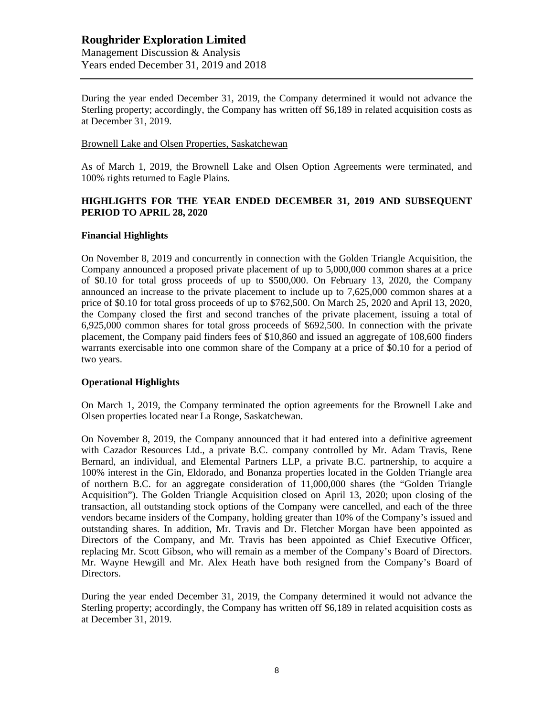During the year ended December 31, 2019, the Company determined it would not advance the Sterling property; accordingly, the Company has written off \$6,189 in related acquisition costs as at December 31, 2019.

#### Brownell Lake and Olsen Properties, Saskatchewan

As of March 1, 2019, the Brownell Lake and Olsen Option Agreements were terminated, and 100% rights returned to Eagle Plains.

### **HIGHLIGHTS FOR THE YEAR ENDED DECEMBER 31, 2019 AND SUBSEQUENT PERIOD TO APRIL 28, 2020**

#### **Financial Highlights**

On November 8, 2019 and concurrently in connection with the Golden Triangle Acquisition, the Company announced a proposed private placement of up to 5,000,000 common shares at a price of \$0.10 for total gross proceeds of up to \$500,000. On February 13, 2020, the Company announced an increase to the private placement to include up to 7,625,000 common shares at a price of \$0.10 for total gross proceeds of up to \$762,500. On March 25, 2020 and April 13, 2020, the Company closed the first and second tranches of the private placement, issuing a total of 6,925,000 common shares for total gross proceeds of \$692,500. In connection with the private placement, the Company paid finders fees of \$10,860 and issued an aggregate of 108,600 finders warrants exercisable into one common share of the Company at a price of \$0.10 for a period of two years.

### **Operational Highlights**

On March 1, 2019, the Company terminated the option agreements for the Brownell Lake and Olsen properties located near La Ronge, Saskatchewan.

On November 8, 2019, the Company announced that it had entered into a definitive agreement with Cazador Resources Ltd., a private B.C. company controlled by Mr. Adam Travis, Rene Bernard, an individual, and Elemental Partners LLP, a private B.C. partnership, to acquire a 100% interest in the Gin, Eldorado, and Bonanza properties located in the Golden Triangle area of northern B.C. for an aggregate consideration of 11,000,000 shares (the "Golden Triangle Acquisition"). The Golden Triangle Acquisition closed on April 13, 2020; upon closing of the transaction, all outstanding stock options of the Company were cancelled, and each of the three vendors became insiders of the Company, holding greater than 10% of the Company's issued and outstanding shares. In addition, Mr. Travis and Dr. Fletcher Morgan have been appointed as Directors of the Company, and Mr. Travis has been appointed as Chief Executive Officer, replacing Mr. Scott Gibson, who will remain as a member of the Company's Board of Directors. Mr. Wayne Hewgill and Mr. Alex Heath have both resigned from the Company's Board of Directors.

During the year ended December 31, 2019, the Company determined it would not advance the Sterling property; accordingly, the Company has written off \$6,189 in related acquisition costs as at December 31, 2019.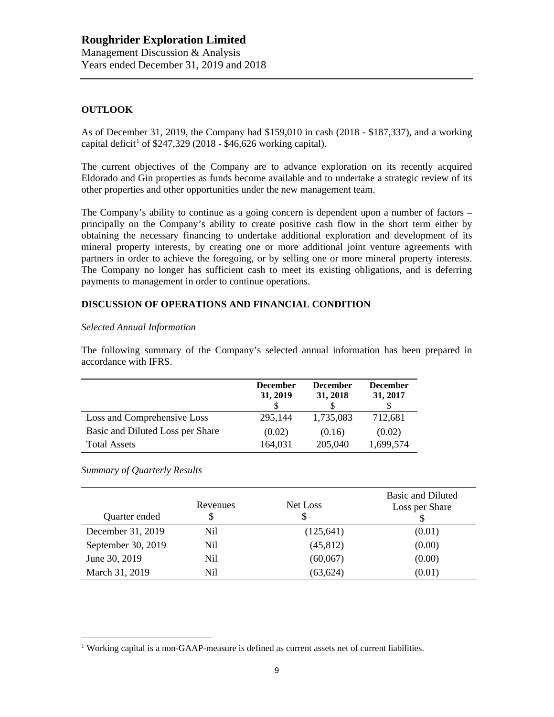## **OUTLOOK**

As of December 31, 2019, the Company had \$159,010 in cash (2018 - \$187,337), and a working capital deficit<sup>1</sup> of \$247,329 (2018 - \$46,626 working capital).

The current objectives of the Company are to advance exploration on its recently acquired Eldorado and Gin properties as funds become available and to undertake a strategic review of its other properties and other opportunities under the new management team.

The Company's ability to continue as a going concern is dependent upon a number of factors – principally on the Company's ability to create positive cash flow in the short term either by obtaining the necessary financing to undertake additional exploration and development of its mineral property interests, by creating one or more additional joint venture agreements with partners in order to achieve the foregoing, or by selling one or more mineral property interests. The Company no longer has sufficient cash to meet its existing obligations, and is deferring payments to management in order to continue operations.

## **DISCUSSION OF OPERATIONS AND FINANCIAL CONDITION**

#### *Selected Annual Information*

The following summary of the Company's selected annual information has been prepared in accordance with IFRS.

|                                  | <b>December</b><br>31, 2019 | <b>December</b><br>31, 2018 | <b>December</b><br>31, 2017 |
|----------------------------------|-----------------------------|-----------------------------|-----------------------------|
| Loss and Comprehensive Loss      | 295,144                     | 1,735,083                   | 712,681                     |
| Basic and Diluted Loss per Share | (0.02)                      | (0.16)                      | (0.02)                      |
| <b>Total Assets</b>              | 164,031                     | 205,040                     | 1,699,574                   |

#### *Summary of Quarterly Results*

| Quarter ended      | Revenues<br>\$ | Net Loss<br>\$ | Basic and Diluted<br>Loss per Share |
|--------------------|----------------|----------------|-------------------------------------|
| December 31, 2019  | Nil            | (125, 641)     | (0.01)                              |
| September 30, 2019 | Nil            | (45, 812)      | (0.00)                              |
| June 30, 2019      | Nil            | (60,067)       | (0.00)                              |
| March 31, 2019     | Nil            | (63, 624)      | (0.01)                              |

 $1$  Working capital is a non-GAAP-measure is defined as current assets net of current liabilities.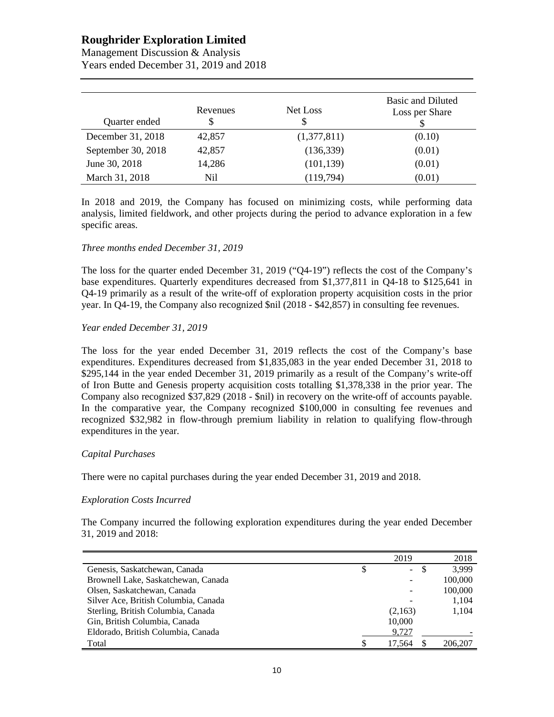# **Roughrider Exploration Limited**

| Management Discussion & Analysis       |
|----------------------------------------|
| Years ended December 31, 2019 and 2018 |

| Quarter ended      | Revenues<br>\$ | Net Loss<br>\$ | Basic and Diluted<br>Loss per Share |
|--------------------|----------------|----------------|-------------------------------------|
| December 31, 2018  | 42,857         | (1,377,811)    | (0.10)                              |
| September 30, 2018 | 42,857         | (136, 339)     | (0.01)                              |
| June 30, 2018      | 14,286         | (101, 139)     | (0.01)                              |
| March 31, 2018     | Nil            | (119, 794)     | (0.01)                              |

In 2018 and 2019, the Company has focused on minimizing costs, while performing data analysis, limited fieldwork, and other projects during the period to advance exploration in a few specific areas.

### *Three months ended December 31, 2019*

The loss for the quarter ended December 31, 2019 ("Q4-19") reflects the cost of the Company's base expenditures. Quarterly expenditures decreased from \$1,377,811 in Q4-18 to \$125,641 in Q4-19 primarily as a result of the write-off of exploration property acquisition costs in the prior year. In Q4-19, the Company also recognized \$nil (2018 - \$42,857) in consulting fee revenues.

#### *Year ended December 31, 2019*

The loss for the year ended December 31, 2019 reflects the cost of the Company's base expenditures. Expenditures decreased from \$1,835,083 in the year ended December 31, 2018 to \$295,144 in the year ended December 31, 2019 primarily as a result of the Company's write-off of Iron Butte and Genesis property acquisition costs totalling \$1,378,338 in the prior year. The Company also recognized \$37,829 (2018 - \$nil) in recovery on the write-off of accounts payable. In the comparative year, the Company recognized \$100,000 in consulting fee revenues and recognized \$32,982 in flow-through premium liability in relation to qualifying flow-through expenditures in the year.

### *Capital Purchases*

There were no capital purchases during the year ended December 31, 2019 and 2018.

#### *Exploration Costs Incurred*

The Company incurred the following exploration expenditures during the year ended December 31, 2019 and 2018:

|                                      |   | 2019    | 2018    |
|--------------------------------------|---|---------|---------|
| Genesis, Saskatchewan, Canada        | S | $\sim$  | 3.999   |
| Brownell Lake, Saskatchewan, Canada  |   |         | 100,000 |
| Olsen, Saskatchewan, Canada          |   |         | 100,000 |
| Silver Ace, British Columbia, Canada |   |         | 1,104   |
| Sterling, British Columbia, Canada   |   | (2,163) | 1,104   |
| Gin, British Columbia, Canada        |   | 10,000  |         |
| Eldorado, British Columbia, Canada   |   | 9.727   |         |
| Total                                |   | 17.564  | 206,207 |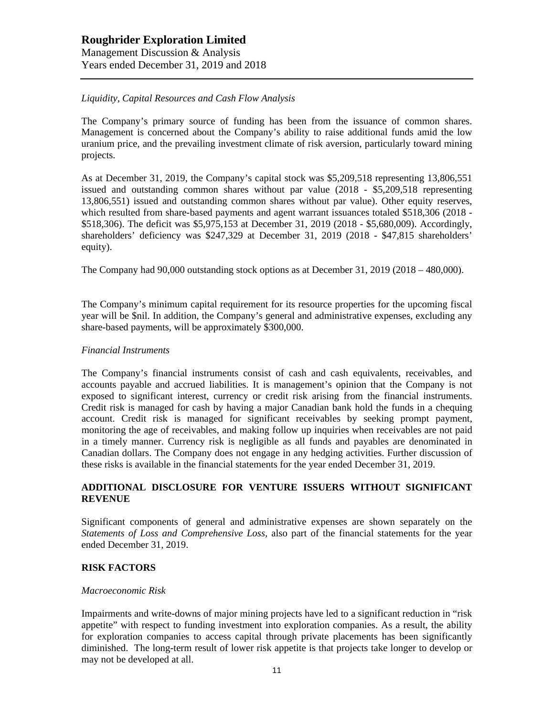## *Liquidity, Capital Resources and Cash Flow Analysis*

The Company's primary source of funding has been from the issuance of common shares. Management is concerned about the Company's ability to raise additional funds amid the low uranium price, and the prevailing investment climate of risk aversion, particularly toward mining projects.

As at December 31, 2019, the Company's capital stock was \$5,209,518 representing 13,806,551 issued and outstanding common shares without par value (2018 - \$5,209,518 representing 13,806,551) issued and outstanding common shares without par value). Other equity reserves, which resulted from share-based payments and agent warrant issuances totaled \$518,306 (2018 -\$518,306). The deficit was \$5,975,153 at December 31, 2019 (2018 - \$5,680,009). Accordingly, shareholders' deficiency was \$247,329 at December 31, 2019 (2018 - \$47,815 shareholders' equity).

The Company had 90,000 outstanding stock options as at December 31, 2019 (2018 – 480,000).

The Company's minimum capital requirement for its resource properties for the upcoming fiscal year will be \$nil. In addition, the Company's general and administrative expenses, excluding any share-based payments, will be approximately \$300,000.

#### *Financial Instruments*

The Company's financial instruments consist of cash and cash equivalents, receivables, and accounts payable and accrued liabilities. It is management's opinion that the Company is not exposed to significant interest, currency or credit risk arising from the financial instruments. Credit risk is managed for cash by having a major Canadian bank hold the funds in a chequing account. Credit risk is managed for significant receivables by seeking prompt payment, monitoring the age of receivables, and making follow up inquiries when receivables are not paid in a timely manner. Currency risk is negligible as all funds and payables are denominated in Canadian dollars. The Company does not engage in any hedging activities. Further discussion of these risks is available in the financial statements for the year ended December 31, 2019.

## **ADDITIONAL DISCLOSURE FOR VENTURE ISSUERS WITHOUT SIGNIFICANT REVENUE**

Significant components of general and administrative expenses are shown separately on the *Statements of Loss and Comprehensive Loss,* also part of the financial statements for the year ended December 31, 2019.

## **RISK FACTORS**

#### *Macroeconomic Risk*

Impairments and write-downs of major mining projects have led to a significant reduction in "risk appetite" with respect to funding investment into exploration companies. As a result, the ability for exploration companies to access capital through private placements has been significantly diminished. The long-term result of lower risk appetite is that projects take longer to develop or may not be developed at all.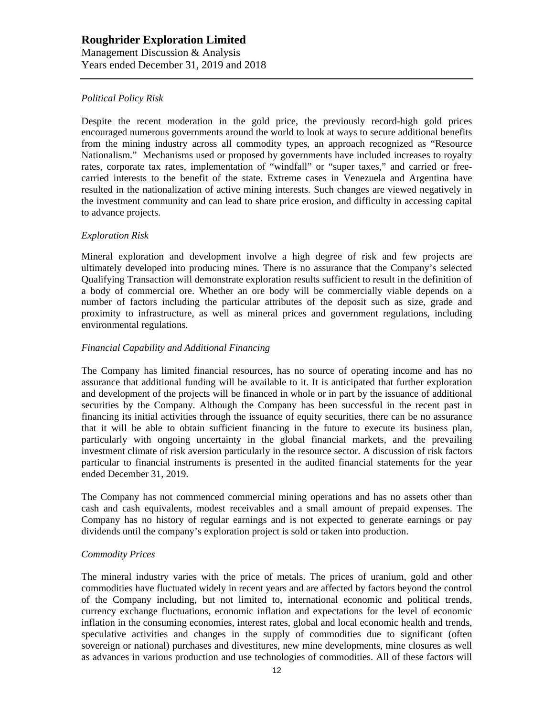## *Political Policy Risk*

Despite the recent moderation in the gold price, the previously record-high gold prices encouraged numerous governments around the world to look at ways to secure additional benefits from the mining industry across all commodity types, an approach recognized as "Resource Nationalism." Mechanisms used or proposed by governments have included increases to royalty rates, corporate tax rates, implementation of "windfall" or "super taxes," and carried or freecarried interests to the benefit of the state. Extreme cases in Venezuela and Argentina have resulted in the nationalization of active mining interests. Such changes are viewed negatively in the investment community and can lead to share price erosion, and difficulty in accessing capital to advance projects.

### *Exploration Risk*

Mineral exploration and development involve a high degree of risk and few projects are ultimately developed into producing mines. There is no assurance that the Company's selected Qualifying Transaction will demonstrate exploration results sufficient to result in the definition of a body of commercial ore. Whether an ore body will be commercially viable depends on a number of factors including the particular attributes of the deposit such as size, grade and proximity to infrastructure, as well as mineral prices and government regulations, including environmental regulations.

## *Financial Capability and Additional Financing*

The Company has limited financial resources, has no source of operating income and has no assurance that additional funding will be available to it. It is anticipated that further exploration and development of the projects will be financed in whole or in part by the issuance of additional securities by the Company. Although the Company has been successful in the recent past in financing its initial activities through the issuance of equity securities, there can be no assurance that it will be able to obtain sufficient financing in the future to execute its business plan, particularly with ongoing uncertainty in the global financial markets, and the prevailing investment climate of risk aversion particularly in the resource sector. A discussion of risk factors particular to financial instruments is presented in the audited financial statements for the year ended December 31, 2019.

The Company has not commenced commercial mining operations and has no assets other than cash and cash equivalents, modest receivables and a small amount of prepaid expenses. The Company has no history of regular earnings and is not expected to generate earnings or pay dividends until the company's exploration project is sold or taken into production.

### *Commodity Prices*

The mineral industry varies with the price of metals. The prices of uranium, gold and other commodities have fluctuated widely in recent years and are affected by factors beyond the control of the Company including, but not limited to, international economic and political trends, currency exchange fluctuations, economic inflation and expectations for the level of economic inflation in the consuming economies, interest rates, global and local economic health and trends, speculative activities and changes in the supply of commodities due to significant (often sovereign or national) purchases and divestitures, new mine developments, mine closures as well as advances in various production and use technologies of commodities. All of these factors will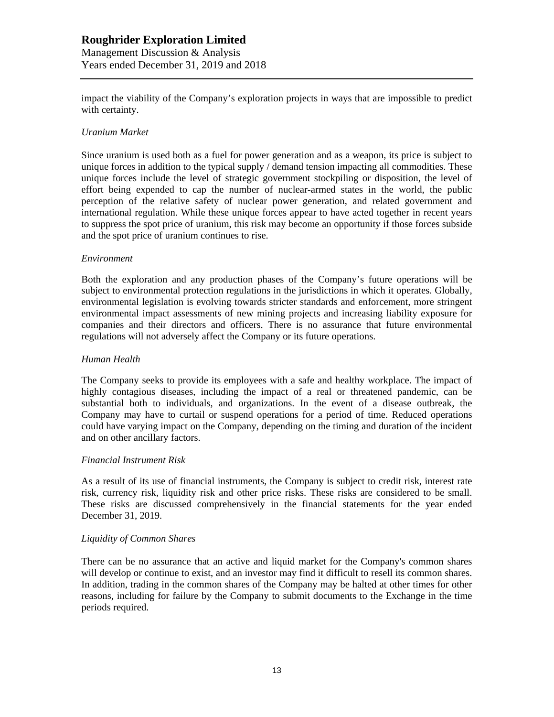## **Roughrider Exploration Limited** Management Discussion & Analysis Years ended December 31, 2019 and 2018

impact the viability of the Company's exploration projects in ways that are impossible to predict with certainty.

### *Uranium Market*

Since uranium is used both as a fuel for power generation and as a weapon, its price is subject to unique forces in addition to the typical supply / demand tension impacting all commodities. These unique forces include the level of strategic government stockpiling or disposition, the level of effort being expended to cap the number of nuclear-armed states in the world, the public perception of the relative safety of nuclear power generation, and related government and international regulation. While these unique forces appear to have acted together in recent years to suppress the spot price of uranium, this risk may become an opportunity if those forces subside and the spot price of uranium continues to rise.

#### *Environment*

Both the exploration and any production phases of the Company's future operations will be subject to environmental protection regulations in the jurisdictions in which it operates. Globally, environmental legislation is evolving towards stricter standards and enforcement, more stringent environmental impact assessments of new mining projects and increasing liability exposure for companies and their directors and officers. There is no assurance that future environmental regulations will not adversely affect the Company or its future operations.

#### *Human Health*

The Company seeks to provide its employees with a safe and healthy workplace. The impact of highly contagious diseases, including the impact of a real or threatened pandemic, can be substantial both to individuals, and organizations. In the event of a disease outbreak, the Company may have to curtail or suspend operations for a period of time. Reduced operations could have varying impact on the Company, depending on the timing and duration of the incident and on other ancillary factors.

#### *Financial Instrument Risk*

As a result of its use of financial instruments, the Company is subject to credit risk, interest rate risk, currency risk, liquidity risk and other price risks. These risks are considered to be small. These risks are discussed comprehensively in the financial statements for the year ended December 31, 2019.

#### *Liquidity of Common Shares*

There can be no assurance that an active and liquid market for the Company's common shares will develop or continue to exist, and an investor may find it difficult to resell its common shares. In addition, trading in the common shares of the Company may be halted at other times for other reasons, including for failure by the Company to submit documents to the Exchange in the time periods required.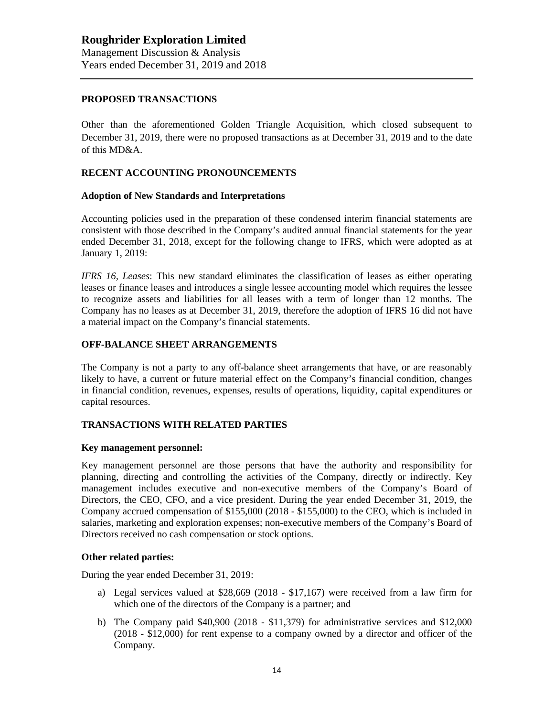## **PROPOSED TRANSACTIONS**

Other than the aforementioned Golden Triangle Acquisition, which closed subsequent to December 31, 2019, there were no proposed transactions as at December 31, 2019 and to the date of this MD&A.

## **RECENT ACCOUNTING PRONOUNCEMENTS**

#### **Adoption of New Standards and Interpretations**

Accounting policies used in the preparation of these condensed interim financial statements are consistent with those described in the Company's audited annual financial statements for the year ended December 31, 2018, except for the following change to IFRS, which were adopted as at January 1, 2019:

*IFRS 16, Leases*: This new standard eliminates the classification of leases as either operating leases or finance leases and introduces a single lessee accounting model which requires the lessee to recognize assets and liabilities for all leases with a term of longer than 12 months. The Company has no leases as at December 31, 2019, therefore the adoption of IFRS 16 did not have a material impact on the Company's financial statements.

## **OFF-BALANCE SHEET ARRANGEMENTS**

The Company is not a party to any off-balance sheet arrangements that have, or are reasonably likely to have, a current or future material effect on the Company's financial condition, changes in financial condition, revenues, expenses, results of operations, liquidity, capital expenditures or capital resources.

### **TRANSACTIONS WITH RELATED PARTIES**

## **Key management personnel:**

Key management personnel are those persons that have the authority and responsibility for planning, directing and controlling the activities of the Company, directly or indirectly. Key management includes executive and non-executive members of the Company's Board of Directors, the CEO, CFO, and a vice president. During the year ended December 31, 2019, the Company accrued compensation of \$155,000 (2018 - \$155,000) to the CEO, which is included in salaries, marketing and exploration expenses; non-executive members of the Company's Board of Directors received no cash compensation or stock options.

### **Other related parties:**

During the year ended December 31, 2019:

- a) Legal services valued at \$28,669 (2018 \$17,167) were received from a law firm for which one of the directors of the Company is a partner; and
- b) The Company paid \$40,900 (2018 \$11,379) for administrative services and \$12,000 (2018 - \$12,000) for rent expense to a company owned by a director and officer of the Company.